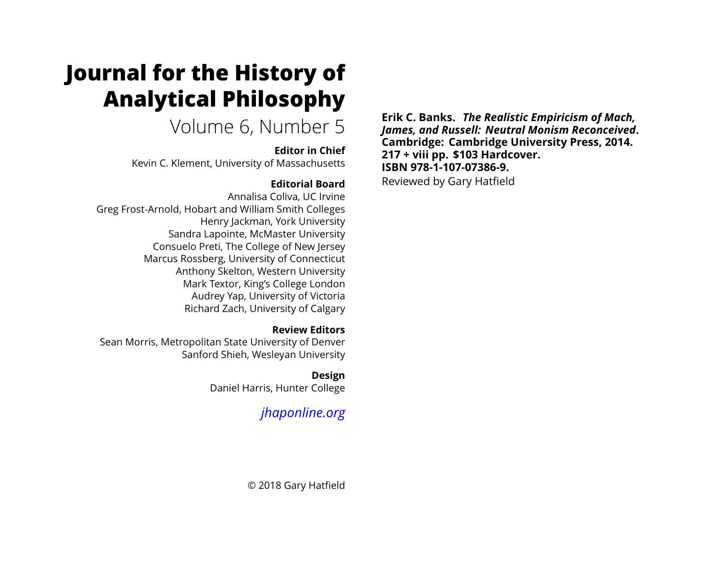# **Journal for the History of Analytical Philosophy**

## Volume 6, Number 5

#### **Editor in Chief**

Kevin C. Klement, University of Massachusetts

### **Editorial Board**

Annalisa Coliva, UC Irvine Greg Frost-Arnold, Hobart and William Smith Colleges Henry Jackman, York University Sandra Lapointe, McMaster University Consuelo Preti, The College of New Jersey Marcus Rossberg, University of Connecticut Anthony Skelton, Western University Mark Textor, King's College London Audrey Yap, University of Victoria Richard Zach, University of Calgary

#### **Review Editors**

Sean Morris, Metropolitan State University of Denver Sanford Shieh, Wesleyan University

### **Design**

Daniel Harris, Hunter College

## *[jhaponline.org](https://jhaponline.org)*

**Erik C. Banks.** *The Realistic Empiricism of Mach, James, and Russell: Neutral Monism Reconceived***. Cambridge: Cambridge University Press, 2014. 217 + viii pp. \$103 Hardcover. ISBN 978-1-107-07386-9.** Reviewed by Gary Hatfield

© 2018 Gary Hatfield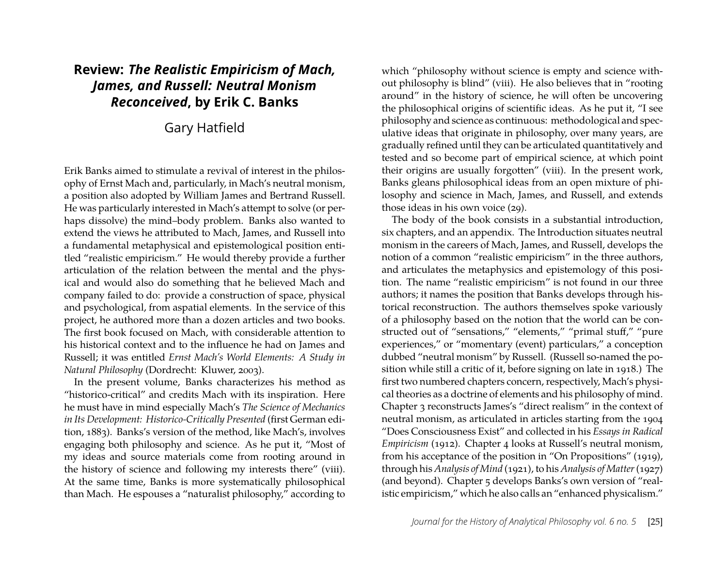### **Review:** *The Realistic Empiricism of Mach, James, and Russell: Neutral Monism Reconceived***, by Erik C. Banks**

#### Gary Hatfield

Erik Banks aimed to stimulate a revival of interest in the philosophy of Ernst Mach and, particularly, in Mach's neutral monism, a position also adopted by William James and Bertrand Russell. He was particularly interested in Mach's attempt to solve (or perhaps dissolve) the mind–body problem. Banks also wanted to extend the views he attributed to Mach, James, and Russell into a fundamental metaphysical and epistemological position entitled "realistic empiricism." He would thereby provide a further articulation of the relation between the mental and the physical and would also do something that he believed Mach and company failed to do: provide a construction of space, physical and psychological, from aspatial elements. In the service of this project, he authored more than a dozen articles and two books. The first book focused on Mach, with considerable attention to his historical context and to the influence he had on James and Russell; it was entitled *Ernst Mach's World Elements: A Study in Natural Philosophy* (Dordrecht: Kluwer, 2003).

In the present volume, Banks characterizes his method as "historico-critical" and credits Mach with its inspiration. Here he must have in mind especially Mach's *The Science of Mechanics in Its Development: Historico-Critically Presented* (first German edition, 1883). Banks's version of the method, like Mach's, involves engaging both philosophy and science. As he put it, "Most of my ideas and source materials come from rooting around in the history of science and following my interests there" (viii). At the same time, Banks is more systematically philosophical than Mach. He espouses a "naturalist philosophy," according to which "philosophy without science is empty and science without philosophy is blind" (viii). He also believes that in "rooting around" in the history of science, he will often be uncovering the philosophical origins of scientific ideas. As he put it, "I see philosophy and science as continuous: methodological and speculative ideas that originate in philosophy, over many years, are gradually refined until they can be articulated quantitatively and tested and so become part of empirical science, at which point their origins are usually forgotten" (viii). In the present work, Banks gleans philosophical ideas from an open mixture of philosophy and science in Mach, James, and Russell, and extends those ideas in his own voice (29).

The body of the book consists in a substantial introduction, six chapters, and an appendix. The Introduction situates neutral monism in the careers of Mach, James, and Russell, develops the notion of a common "realistic empiricism" in the three authors, and articulates the metaphysics and epistemology of this position. The name "realistic empiricism" is not found in our three authors; it names the position that Banks develops through historical reconstruction. The authors themselves spoke variously of a philosophy based on the notion that the world can be constructed out of "sensations," "elements," "primal stuff," "pure experiences," or "momentary (event) particulars," a conception dubbed "neutral monism" by Russell. (Russell so-named the position while still a critic of it, before signing on late in 1918.) The first two numbered chapters concern, respectively, Mach's physical theories as a doctrine of elements and his philosophy of mind. Chapter 3 reconstructs James's "direct realism" in the context of neutral monism, as articulated in articles starting from the 1904 "Does Consciousness Exist" and collected in his *Essays in Radical Empiricism* (1912). Chapter 4 looks at Russell's neutral monism, from his acceptance of the position in "On Propositions" (1919), through his *Analysis of Mind* (1921), to his *Analysis of Matter*(1927) (and beyond). Chapter 5 develops Banks's own version of "realistic empiricism," which he also calls an "enhanced physicalism."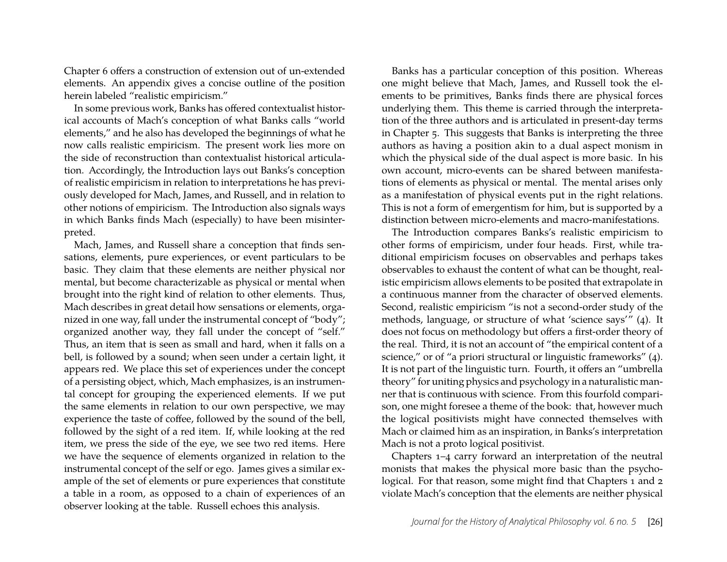Chapter 6 offers a construction of extension out of un-extended elements. An appendix gives a concise outline of the position herein labeled "realistic empiricism."

In some previous work, Banks has offered contextualist historical accounts of Mach's conception of what Banks calls "world elements," and he also has developed the beginnings of what he now calls realistic empiricism. The present work lies more on the side of reconstruction than contextualist historical articulation. Accordingly, the Introduction lays out Banks's conception of realistic empiricism in relation to interpretations he has previously developed for Mach, James, and Russell, and in relation to other notions of empiricism. The Introduction also signals ways in which Banks finds Mach (especially) to have been misinterpreted.

Mach, James, and Russell share a conception that finds sensations, elements, pure experiences, or event particulars to be basic. They claim that these elements are neither physical nor mental, but become characterizable as physical or mental when brought into the right kind of relation to other elements. Thus, Mach describes in great detail how sensations or elements, organized in one way, fall under the instrumental concept of "body"; organized another way, they fall under the concept of "self." Thus, an item that is seen as small and hard, when it falls on a bell, is followed by a sound; when seen under a certain light, it appears red. We place this set of experiences under the concept of a persisting object, which, Mach emphasizes, is an instrumental concept for grouping the experienced elements. If we put the same elements in relation to our own perspective, we may experience the taste of coffee, followed by the sound of the bell, followed by the sight of a red item. If, while looking at the red item, we press the side of the eye, we see two red items. Here we have the sequence of elements organized in relation to the instrumental concept of the self or ego. James gives a similar example of the set of elements or pure experiences that constitute a table in a room, as opposed to a chain of experiences of an observer looking at the table. Russell echoes this analysis.

Banks has a particular conception of this position. Whereas one might believe that Mach, James, and Russell took the elements to be primitives, Banks finds there are physical forces underlying them. This theme is carried through the interpretation of the three authors and is articulated in present-day terms in Chapter 5. This suggests that Banks is interpreting the three authors as having a position akin to a dual aspect monism in which the physical side of the dual aspect is more basic. In his own account, micro-events can be shared between manifestations of elements as physical or mental. The mental arises only as a manifestation of physical events put in the right relations. This is not a form of emergentism for him, but is supported by a distinction between micro-elements and macro-manifestations.

The Introduction compares Banks's realistic empiricism to other forms of empiricism, under four heads. First, while traditional empiricism focuses on observables and perhaps takes observables to exhaust the content of what can be thought, realistic empiricism allows elements to be posited that extrapolate in a continuous manner from the character of observed elements. Second, realistic empiricism "is not a second-order study of the methods, language, or structure of what 'science says'" (4). It does not focus on methodology but offers a first-order theory of the real. Third, it is not an account of "the empirical content of a science," or of "a priori structural or linguistic frameworks" (4). It is not part of the linguistic turn. Fourth, it offers an "umbrella theory" for uniting physics and psychology in a naturalistic manner that is continuous with science. From this fourfold comparison, one might foresee a theme of the book: that, however much the logical positivists might have connected themselves with Mach or claimed him as an inspiration, in Banks's interpretation Mach is not a proto logical positivist.

Chapters 1–4 carry forward an interpretation of the neutral monists that makes the physical more basic than the psychological. For that reason, some might find that Chapters 1 and 2 violate Mach's conception that the elements are neither physical